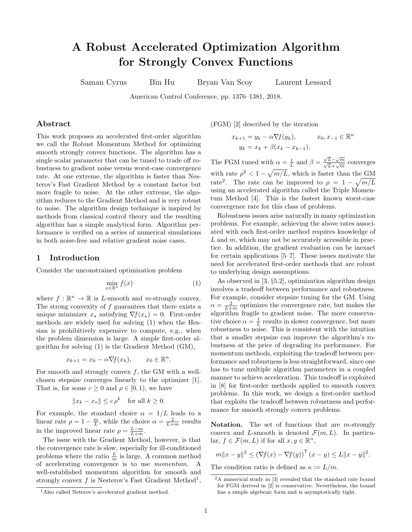# A Robust Accelerated Optimization Algorithm for Strongly Convex Functions

Saman Cyrus Bin Hu Bryan Van Scoy Laurent Lessard

American Control Conference, pp. 1376–1381, 2018.

## Abstract

This work proposes an accelerated first-order algorithm we call the Robust Momentum Method for optimizing smooth strongly convex functions. The algorithm has a single scalar parameter that can be tuned to trade off robustness to gradient noise versus worst-case convergence rate. At one extreme, the algorithm is faster than Nesterov's Fast Gradient Method by a constant factor but more fragile to noise. At the other extreme, the algorithm reduces to the Gradient Method and is very robust to noise. The algorithm design technique is inspired by methods from classical control theory and the resulting algorithm has a simple analytical form. Algorithm performance is verified on a series of numerical simulations in both noise-free and relative gradient noise cases.

### 1 Introduction

Consider the unconstrained optimization problem

<span id="page-0-0"></span>
$$
\min_{x \in \mathbb{R}^n} f(x) \tag{1}
$$

where  $f : \mathbb{R}^n \to \mathbb{R}$  is L-smooth and m-strongly convex. The strong convexity of  $f$  guarantees that there exists a unique minimizer  $x_{\star}$  satisfying  $\nabla f(x_{\star}) = 0$ . First-order methods are widely used for solving [\(1\)](#page-0-0) when the Hessian is prohibitively expensive to compute, e.g., when the problem dimension is large. A simple first-order algorithm for solving [\(1\)](#page-0-0) is the Gradient Method (GM),

$$
x_{k+1} = x_k - \alpha \nabla f(x_k), \qquad x_0 \in \mathbb{R}^n.
$$

For smooth and strongly convex  $f$ , the GM with a wellchosen stepsize converges linearly to the optimizer [\[1\]](#page-5-0). That is, for some  $c \geq 0$  and  $\rho \in [0, 1)$ , we have

$$
||x_k - x_*|| \le c \rho^k \quad \text{for all } k \ge 0.
$$

For example, the standard choice  $\alpha = 1/L$  leads to a linear rate  $\rho = 1 - \frac{m}{L}$ , while the choice  $\alpha = \frac{2}{L+m}$  results in the improved linear rate  $\rho = \frac{L-m}{L+m}$ .

The issue with the Gradient Method, however, is that the convergence rate is slow, especially for ill-conditioned problems where the ratio  $\frac{L}{m}$  is large. A common method of accelerating convergence is to use momentum. A well-established momentum algorithm for smooth and strongly convex  $f$  is Nesterov's Fast Gradient Method<sup>[1](#page-0-1)</sup>,

(FGM) [\[2\]](#page-5-1) described by the iteration

$$
x_{k+1} = y_k - \alpha \nabla f(y_k), \qquad x_0, x_{-1} \in \mathbb{R}^n
$$

$$
y_k = x_k + \beta(x_k - x_{k-1}).
$$

The FGM tuned with  $\alpha = \frac{1}{L}$  and  $\beta = \frac{\sqrt{L} - \sqrt{m}}{\sqrt{L} + \sqrt{m}}$  converges with rate  $\rho^2 < 1 - \sqrt{m/L}$ , which is faster than the GM rate<sup>[2](#page-0-2)</sup>. The rate can be improved to  $\rho = 1 - \sqrt{m/L}$ using an accelerated algorithm called the Triple Momentum Method [\[4\]](#page-5-2). This is the fastest known worst-case convergence rate for this class of problems.

Robustness issues arise naturally in many optimization problems. For example, achieving the above rates associated with each first-order method requires knowledge of  $L$  and  $m$ , which may not be accurately accessible in practice. In addition, the gradient evaluation can be inexact for certain applications [\[5](#page-5-3)[–7\]](#page-5-4). These issues motivate the need for accelerated first-order methods that are robust to underlying design assumptions.

As observed in [\[3,](#page-5-5) §5.2], optimization algorithm design involves a tradeoff between performance and robustness. For example, consider stepsize tuning for the GM. Using  $\alpha = \frac{2}{L+m}$  optimizes the convergence rate, but makes the algorithm fragile to gradient noise. The more conservative choice  $\alpha = \frac{1}{L}$  results in slower convergence, but more robustness to noise. This is consistent with the intuition that a smaller stepsize can improve the algorithm's robustness at the price of degrading its performance. For momentum methods, exploiting the tradeoff between performance and robustness is less straightforward, since one has to tune multiple algorithm parameters in a coupled manner to achieve acceleration. This tradeoff is exploited in [\[8\]](#page-5-6) for first-order methods applied to smooth convex problems. In this work, we design a first-order method that exploits the tradeoff between robustness and performance for smooth strongly convex problems.

Notation. The set of functions that are  $m$ -strongly convex and L-smooth is denoted  $\mathcal{F}(m,L)$ . In particular,  $f \in \mathcal{F}(m, L)$  if for all  $x, y \in \mathbb{R}^n$ ,

$$
m||x - y||^2 \le (\nabla f(x) - \nabla f(y))^T (x - y) \le L||x - y||^2.
$$

The condition ratio is defined as  $\kappa := L/m$ .

<span id="page-0-1"></span><sup>1</sup>Also called Neterov's accelerated gradient method.

<span id="page-0-2"></span><sup>2</sup>A numerical study in [\[3\]](#page-5-5) revealed that the standard rate bound for FGM derived in [\[2\]](#page-5-1) is conservative. Nevertheless, the bound has a simple algebraic form and is asymptotically tight.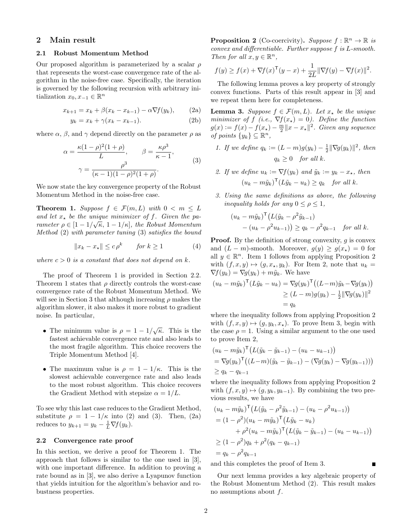# 2 Main result

#### <span id="page-1-7"></span>2.1 Robust Momentum Method

Our proposed algorithm is parameterized by a scalar  $\rho$ that represents the worst-case convergence rate of the algorithm in the noise-free case. Specifically, the iteration is governed by the following recursion with arbitrary initialization  $x_0, x_{-1} \in \mathbb{R}^n$ 

<span id="page-1-0"></span>
$$
x_{k+1} = x_k + \beta(x_k - x_{k-1}) - \alpha \nabla f(y_k), \qquad (2a)
$$

$$
y_k = x_k + \gamma (x_k - x_{k-1}).\tag{2b}
$$

where  $\alpha$ ,  $\beta$ , and  $\gamma$  depend directly on the parameter  $\rho$  as

<span id="page-1-1"></span>
$$
\alpha = \frac{\kappa (1 - \rho)^2 (1 + \rho)}{L}, \qquad \beta = \frac{\kappa \rho^3}{\kappa - 1},
$$

$$
\gamma = \frac{\rho^3}{(\kappa - 1)(1 - \rho)^2 (1 + \rho)}.
$$
(3)

We now state the key convergence property of the Robust Momentum Method in the noise-free case.

<span id="page-1-2"></span>**Theorem 1.** Suppose  $f \in \mathcal{F}(m,L)$  with  $0 \lt m \leq L$ and let  $x_*$  be the unique minimizer of f. Given the parameter  $\rho \in [1 - 1/\sqrt{\kappa}, 1 - 1/\kappa]$ , the Robust Momentum Method [\(2\)](#page-1-0) with parameter tuning [\(3\)](#page-1-1) satisfies the bound

$$
||x_k - x_*|| \le c \rho^k \quad \text{for } k \ge 1 \tag{4}
$$

where  $c > 0$  is a constant that does not depend on k.

The proof of Theorem [1](#page-1-2) is provided in Section [2.2.](#page-1-3) Theorem [1](#page-1-2) states that  $\rho$  directly controls the worst-case convergence rate of the Robust Momentum Method. We will see in Section [3](#page-2-0) that although increasing  $\rho$  makes the algorithm slower, it also makes it more robust to gradient noise. In particular,

- The minimum value is  $\rho = 1 1/\sqrt{\kappa}$ . This is the fastest achievable convergence rate and also leads to the most fragile algorithm. This choice recovers the Triple Momentum Method [\[4\]](#page-5-2).
- The maximum value is  $\rho = 1 1/\kappa$ . This is the slowest achievable convergence rate and also leads to the most robust algorithm. This choice recovers the Gradient Method with stepsize  $\alpha = 1/L$ .

To see why this last case reduces to the Gradient Method, substitute  $\rho = 1 - 1/\kappa$  into [\(2\)](#page-1-0) and [\(3\)](#page-1-1). Then, [\(2a\)](#page-1-4) reduces to  $y_{k+1} = y_k - \frac{1}{L} \nabla f(y_k)$ .

#### <span id="page-1-3"></span>2.2 Convergence rate proof

In this section, we derive a proof for Theorem [1.](#page-1-2) The approach that follows is similar to the one used in [\[3\]](#page-5-5), with one important difference. In addition to proving a rate bound as in [\[3\]](#page-5-5), we also derive a Lyapunov function that yields intuition for the algorithm's behavior and robustness properties.

<span id="page-1-5"></span>**Proposition 2** (Co-coercivity). Suppose  $f : \mathbb{R}^n \to \mathbb{R}$  is convex and differentiable. Further suppose f is L-smooth. Then for all  $x, y \in \mathbb{R}^n$ ,

$$
f(y) \ge f(x) + \nabla f(x)^{\mathsf{T}}(y - x) + \frac{1}{2L} \|\nabla f(y) - \nabla f(x)\|^2.
$$

The following lemma proves a key property of strongly convex functions. Parts of this result appear in [\[3\]](#page-5-5) and we repeat them here for completeness.

<span id="page-1-6"></span><span id="page-1-4"></span>**Lemma 3.** Suppose  $f \in \mathcal{F}(m, L)$ . Let  $x_*$  be the unique minimizer of f (i.e.,  $\nabla f(x_{\star}) = 0$ ). Define the function  $g(x) := f(x) - f(x_{\star}) - \frac{m}{2} ||x - x_{\star}||^2$ . Given any sequence of points  $\{y_k\} \subseteq \mathbb{R}^n$ ,

- 1. If we define  $q_k := (L m)g(y_k) \frac{1}{2} \|\nabla g(y_k)\|^2$ , then  $q_k > 0$  for all k.
- 2. If we define  $u_k := \nabla f(y_k)$  and  $\tilde{y}_k := y_k x_{\star}$ , then  $(u_k - m\tilde{y}_k)^{\mathsf{T}}(L\tilde{y}_k - u_k) \geq q_k$  for all k.
- 3. Using the same definitions as above, the following inequality holds for any  $0 \leq \rho \leq 1$ ,

$$
(u_k - m\tilde{y}_k)^{\mathsf{T}} (L(\tilde{y}_k - \rho^2 \tilde{y}_{k-1})
$$
  
-  $(u_k - \rho^2 u_{k-1})$   $\geq q_k - \rho^2 q_{k-1}$  for all k.

**Proof.** By the definition of strong convexity,  $q$  is convex and  $(L - m)$ -smooth. Moreover,  $q(y) > q(x_+) = 0$  for all  $y \in \mathbb{R}^n$ . Item 1 follows from applying Proposition [2](#page-1-5) with  $(f, x, y) \mapsto (g, x_{\star}, y_k)$ . For Item 2, note that  $u_k =$  $\nabla f(y_k) = \nabla g(y_k) + m\tilde{y}_k$ . We have

$$
(u_k - m\tilde{y}_k)^{\mathsf{T}}(L\tilde{y}_k - u_k) = \nabla g(y_k)^{\mathsf{T}}((L-m)\tilde{y}_k - \nabla g(y_k))
$$
  
\n
$$
\geq (L-m)g(y_k) - \frac{1}{2} \|\nabla g(y_k)\|^2
$$
  
\n
$$
= q_k
$$

where the inequality follows from applying Proposition [2](#page-1-5) with  $(f, x, y) \mapsto (g, y_k, x_*)$ . To prove Item 3, begin with the case  $\rho = 1$ . Using a similar argument to the one used to prove Item 2,

$$
(u_k - m\tilde{y}_k)^{\top} (L(\tilde{y}_k - \tilde{y}_{k-1}) - (u_k - u_{k-1}))
$$
  
=  $\nabla g(y_k)^{\top} ((L-m)(\tilde{y}_k - \tilde{y}_{k-1}) - (\nabla g(y_k) - \nabla g(y_{k-1})))$   
 $\geq q_k - q_{k-1}$ 

where the inequality follows from applying Proposition [2](#page-1-5) with  $(f, x, y) \mapsto (g, y_k, y_{k-1})$ . By combining the two previous results, we have

$$
(u_k - m\tilde{y}_k)^{\top} (L(\tilde{y}_k - \rho^2 \tilde{y}_{k-1}) - (u_k - \rho^2 u_{k-1}))
$$
  
=  $(1 - \rho^2)(u_k - m\tilde{y}_k)^{\top} (L\tilde{y}_k - u_k)$   
+  $\rho^2 (u_k - m\tilde{y}_k)^{\top} (L(\tilde{y}_k - \tilde{y}_{k-1}) - (u_k - u_{k-1}))$   
 $\ge (1 - \rho^2) q_k + \rho^2 (q_k - q_{k-1})$   
=  $q_k - \rho^2 q_{k-1}$ 

and this completes the proof of Item 3.

Our next lemma provides a key algebraic property of the Robust Momentum Method [\(2\)](#page-1-0). This result makes no assumptions about  $f$ .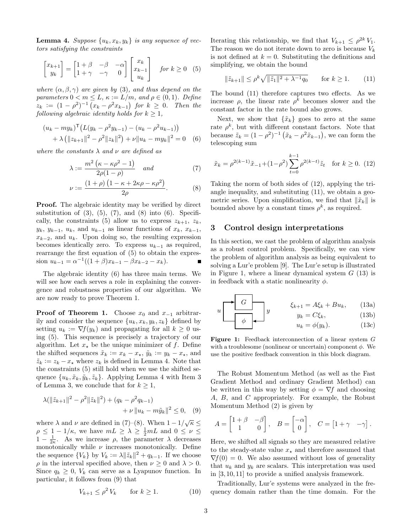<span id="page-2-5"></span>**Lemma 4.** Suppose  $\{u_k, x_k, y_k\}$  is any sequence of vectors satisfying the constraints

<span id="page-2-1"></span>
$$
\begin{bmatrix} x_{k+1} \\ y_k \end{bmatrix} = \begin{bmatrix} 1+\beta & -\beta & -\alpha \\ 1+\gamma & -\gamma & 0 \end{bmatrix} \begin{bmatrix} x_k \\ x_{k-1} \\ u_k \end{bmatrix} \quad \text{for } k \ge 0 \quad (5)
$$

where  $(\alpha, \beta, \gamma)$  are given by [\(3\)](#page-1-1), and thus depend on the parameters  $0 < m \leq L$ ,  $\kappa := L/m$ , and  $\rho \in (0, 1)$ . Define  $z_k := (1 - \rho^2)^{-1} (x_k - \rho^2 x_{k-1})$  for  $k \geq 0$ . Then the following algebraic identity holds for  $k \geq 1$ ,

$$
(u_k - my_k)^{\mathsf{T}} (L(y_k - \rho^2 y_{k-1}) - (u_k - \rho^2 u_{k-1}))
$$
  
+  $\lambda (||z_{k+1}||^2 - \rho^2 ||z_k||^2) + \nu ||u_k - my_k||^2 = 0$  (6)

where the constants  $\lambda$  and  $\nu$  are defined as

$$
\lambda := \frac{m^2 \left(\kappa - \kappa \rho^2 - 1\right)}{2\rho (1 - \rho)} \quad \text{and} \tag{7}
$$

$$
\nu := \frac{(1+\rho)\left(1 - \kappa + 2\kappa\rho - \kappa\rho^2\right)}{2\rho}.
$$
 (8)

**Proof.** The algebraic identity may be verified by direct substitution of  $(3)$ ,  $(5)$ ,  $(7)$ , and  $(8)$  into  $(6)$ . Specifi-cally, the constraints [\(5\)](#page-2-1) allow us to express  $z_{k+1}$ ,  $z_k$ ,  $y_k$ ,  $y_{k-1}$ ,  $u_k$ , and  $u_{k-1}$  as linear functions of  $x_k$ ,  $x_{k-1}$ ,  $x_{k-2}$ , and  $u_k$ . Upon doing so, the resulting expression becomes identically zero. To express  $u_{k-1}$  as required, rearrange the first equation of [\(5\)](#page-2-1) to obtain the expression  $u_{k-1} = \alpha^{-1}((1+\beta)x_{k-1} - \beta x_{k-2} - x_k).$ 

The algebraic identity [\(6\)](#page-2-4) has three main terms. We will see how each serves a role in explaining the convergence and robustness properties of our algorithm. We are now ready to prove Theorem [1.](#page-1-2)

**Proof of Theorem [1.](#page-1-2)** Choose  $x_0$  and  $x_{-1}$  arbitrarily and consider the sequence  $\{u_k, x_k, y_k, z_k\}$  defined by setting  $u_k := \nabla f(y_k)$  and propagating for all  $k \geq 0$  using [\(5\)](#page-2-1). This sequence is precisely a trajectory of our algorithm. Let  $x_{\star}$  be the unique minimizer of f. Define the shifted sequences  $\tilde{x}_k := x_k - x_\star$ ,  $\tilde{y}_k := y_k - x_\star$ , and  $\tilde{z}_k := z_k - x_{\star}$  where  $z_k$  is defined in Lemma [4.](#page-2-5) Note that the constraints [\(5\)](#page-2-1) still hold when we use the shifted sequence  $\{u_k, \tilde{x}_k, \tilde{y}_k, \tilde{z}_k\}$ . Applying Lemma [4](#page-2-5) with Item 3 of Lemma [3,](#page-1-6) we conclude that for  $k \geq 1$ ,

$$
\lambda(\|\tilde{z}_{k+1}\|^2 - \rho^2 \|\tilde{z}_k\|^2) + (q_k - \rho^2 q_{k-1}) + \nu \|u_k - m\tilde{y}_k\|^2 \le 0, \quad (9)
$$

where  $\lambda$  and  $\nu$  are defined in [\(7\)](#page-2-2)–[\(8\)](#page-2-3). When  $1 - 1/\sqrt{\kappa} \le$  $\rho \leq 1-1/\kappa$ , we have  $mL \geq \lambda \geq \frac{1}{2}mL$  and  $0 \leq \nu \leq$  $1 - \frac{1}{2\kappa}$ . As we increase  $\rho$ , the parameter  $\lambda$  decreases monotonically while  $\nu$  increases monotonically. Define the sequence  $\{V_k\}$  by  $V_k := \lambda ||\tilde{z}_k||^2 + q_{k-1}$ . If we choose  $\rho$  in the interval specified above, then  $\nu \geq 0$  and  $\lambda > 0.$ Since  $q_k \geq 0$ ,  $V_k$  can serve as a Lyapunov function. In particular, it follows from [\(9\)](#page-2-6) that

<span id="page-2-11"></span>
$$
V_{k+1} \le \rho^2 V_k \qquad \text{for } k \ge 1. \tag{10}
$$

Iterating this relationship, we find that  $V_{k+1} \n\t\leq \n\t\rho^{2k} V_1$ . The reason we do not iterate down to zero is because  $V_k$ is not defined at  $k = 0$ . Substituting the definitions and simplifying, we obtain the bound

<span id="page-2-7"></span>
$$
\|\tilde{z}_{k+1}\| \le \rho^k \sqrt{\|\tilde{z}_1\|^2 + \lambda^{-1} q_0} \qquad \text{for } k \ge 1.
$$
 (11)

The bound [\(11\)](#page-2-7) therefore captures two effects. As we increase  $\rho$ , the linear rate  $\rho^k$  becomes slower and the constant factor in the rate bound also grows.

<span id="page-2-4"></span>Next, we show that  $\{\tilde{x}_k\}$  goes to zero at the same rate  $\rho^k$ , but with different constant factors. Note that because  $\tilde{z}_k = (1 - \rho^2)^{-1} (\tilde{x}_k - \rho^2 \tilde{x}_{k-1}),$  we can form the telescoping sum

<span id="page-2-8"></span><span id="page-2-2"></span>
$$
\tilde{x}_k = \rho^{2(k-1)} \tilde{x}_{-1} + (1 - \rho^2) \sum_{t=0}^{k-1} \rho^{2(k-t)} \tilde{z}_t \quad \text{for } k \ge 0. \tag{12}
$$

<span id="page-2-3"></span>Taking the norm of both sides of [\(12\)](#page-2-8), applying the triangle inequality, and substituting [\(11\)](#page-2-7), we obtain a geometric series. Upon simplification, we find that  $\|\tilde{x}_k\|$  is bounded above by a constant times  $\rho^k$ , as required.

# <span id="page-2-0"></span>3 Control design interpretations

In this section, we cast the problem of algorithm analysis as a robust control problem. Specifically, we can view the problem of algorithm analysis as being equivalent to solving a Lur'e problem [\[9\]](#page-5-7). The Lur'e setup is illustrated in Figure [1,](#page-2-9) where a linear dynamical system  $G(13)$  $G(13)$  is in feedback with a static nonlinearity  $\phi$ .

<span id="page-2-10"></span><span id="page-2-9"></span>
$$
u \begin{array}{ccc}\n\bullet & G \\
\hline\n\phi & \\
\hline\n\phi & \\
\hline\nu_k & \\
\hline\n\end{array}\n\qquad\n\begin{array}{ccc}\n\xi_{k+1} = A\xi_k + Bu_k, & (13a) \\
y_k = C\xi_k, & (13b) \\
u_k = \phi(y_k). & (13c)\n\end{array}
$$

Figure 1: Feedback interconnection of a linear system G with a troublesome (nonlinear or uncertain) component  $\phi$ . We use the positive feedback convention in this block diagram.

The Robust Momentum Method (as well as the Fast Gradient Method and ordinary Gradient Method) can be written in this way by setting  $\phi = \nabla f$  and choosing A, B, and C appropriately. For example, the Robust Momentum Method [\(2\)](#page-1-0) is given by

<span id="page-2-6"></span>
$$
A = \begin{bmatrix} 1+\beta & -\beta \\ 1 & 0 \end{bmatrix}, \quad B = \begin{bmatrix} -\alpha \\ 0 \end{bmatrix}, \quad C = \begin{bmatrix} 1+\gamma & -\gamma \end{bmatrix}.
$$

Here, we shifted all signals so they are measured relative to the steady-state value  $x_{\star}$  and therefore assumed that  $\nabla f(0) = 0$ . We also assumed without loss of generality that  $u_k$  and  $y_k$  are scalars. This interpretation was used in [\[3,](#page-5-5) [10,](#page-5-8) [11\]](#page-5-9) to provide a unified analysis framework.

Traditionally, Lur'e systems were analyzed in the frequency domain rather than the time domain. For the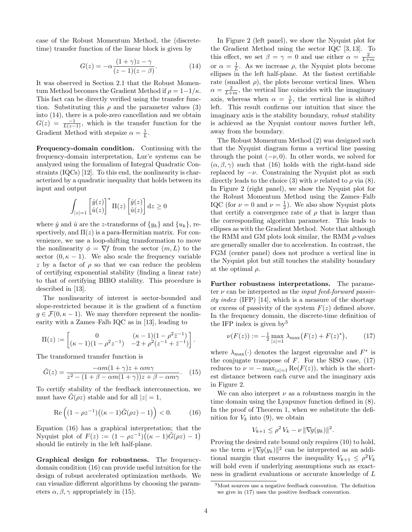case of the Robust Momentum Method, the (discretetime) transfer function of the linear block is given by

<span id="page-3-0"></span>
$$
G(z) = -\alpha \frac{(1+\gamma)z - \gamma}{(z-1)(z-\beta)}.
$$
\n(14)

It was observed in Section [2.1](#page-1-7) that the Robust Momentum Method becomes the Gradient Method if  $\rho = 1-1/\kappa$ . This fact can be directly verified using the transfer function. Substituting this  $\rho$  and the parameter values [\(3\)](#page-1-1) into [\(14\)](#page-3-0), there is a pole-zero cancellation and we obtain  $G(z) = \frac{-1}{L(z-1)}$ , which is the transfer function for the Gradient Method with stepsize  $\alpha = \frac{1}{L}$ .

Frequency-domain condition. Continuing with the frequency-domain interpretation, Lur'e systems can be analyzed using the formalism of Integral Quadratic Constraints (IQCs) [\[12\]](#page-5-10). To this end, the nonlinearity is characterized by a quadratic inequality that holds between its input and output

$$
\int_{|z|=1} \left[\hat{y}(z)\right]^* \Pi(z) \left[\hat{y}(z)\right] dz \ge 0
$$

where  $\hat{y}$  and  $\hat{u}$  are the z-transforms of  $\{y_k\}$  and  $\{u_k\}$ , respectively, and  $\Pi(z)$  is a para-Hermitian matrix. For convenience, we use a loop-shifting transformation to move the nonlinearity  $\phi = \nabla f$  from the sector  $(m, L)$  to the sector  $(0, \kappa - 1)$ . We also scale the frequency variable z by a factor of  $\rho$  so that we can reduce the problem of certifying exponential stability (finding a linear rate) to that of certifying BIBO stability. This procedure is described in [\[13\]](#page-5-11).

The nonlinearity of interest is sector-bounded and slope-restricted because it is the gradient of a function  $g \in \mathcal{F}(0, \kappa - 1)$ . We may therefore represent the nonlinearity with a Zames–Falb IQC as in [\[13\]](#page-5-11), leading to

$$
\Pi(z) := \begin{bmatrix} 0 & (\kappa - 1)(1 - \rho^2 \bar{z}^{-1}) \\ (\kappa - 1)(1 - \rho^2 z^{-1}) & -2 + \rho^2 (z^{-1} + \bar{z}^{-1}) \end{bmatrix}.
$$

The transformed transfer function is

<span id="page-3-2"></span>
$$
\tilde{G}(z) = \frac{-\alpha m(1+\gamma)z + \alpha m\gamma}{z^2 - (1+\beta - \alpha m(1+\gamma))z + \beta - \alpha m\gamma}.
$$
 (15)

To certify stability of the feedback interconnection, we must have  $G(\rho z)$  stable and for all  $|z|=1$ ,

<span id="page-3-1"></span>
$$
\operatorname{Re}\left((1-\rho z^{-1})\big((\kappa-1)\tilde{G}(\rho z)-1\big)\right)<0.\tag{16}
$$

Equation [\(16\)](#page-3-1) has a graphical interpretation; that the Nyquist plot of  $F(z) := (1 - \rho z^{-1})((\kappa - 1)\tilde{G}(\rho z) - 1)$ should lie entirely in the left half-plane.

Graphical design for robustness. The frequencydomain condition [\(16\)](#page-3-1) can provide useful intuition for the design of robust accelerated optimization methods. We can visualize different algorithms by choosing the parameters  $\alpha, \beta, \gamma$  appropriately in [\(15\)](#page-3-2).

In Figure [2](#page-4-0) (left panel), we show the Nyquist plot for the Gradient Method using the sector IQC [\[3,](#page-5-5) [13\]](#page-5-11). To this effect, we set  $\beta = \gamma = 0$  and use either  $\alpha = \frac{2}{L+m}$ or  $\alpha = \frac{1}{L}$ . As we increase  $\rho$ , the Nyquist plots become ellipses in the left half-plane. At the fastest certifiable rate (smallest  $\rho$ ), the plots become vertical lines. When  $\alpha = \frac{2}{L+m}$ , the vertical line coincides with the imaginary axis, whereas when  $\alpha = \frac{1}{L}$ , the vertical line is shifted left. This result confirms our intuition that since the imaginary axis is the stability boundary, robust stability is achieved as the Nyquist contour moves further left, away from the boundary.

The Robust Momentum Method [\(2\)](#page-1-0) was designed such that the Nyquist diagram forms a vertical line passing through the point  $(-\nu, 0)$ . In other words, we solved for  $(\alpha, \beta, \gamma)$  such that [\(16\)](#page-3-1) holds with the right-hand side replaced by  $-\nu$ . Constraining the Nyquist plot as such directly leads to the choice [\(3\)](#page-1-1) with  $\nu$  related to  $\rho$  via [\(8\)](#page-2-3). In Figure [2](#page-4-0) (right panel), we show the Nyquist plot for the Robust Momentum Method using the Zames–Falb IQC (for  $\nu = 0$  and  $\nu = \frac{1}{2}$ ). We also show Nyquist plots that certify a convergence rate of  $\rho$  that is larger than the corresponding algorithm parameter. This leads to ellipses as with the Gradient Method. Note that although the RMM and GM plots look similar, the RMM  $\rho$ -values are generally smaller due to acceleration. In contrast, the FGM (center panel) does not produce a vertical line in the Nyquist plot but still touches the stability boundary at the optimal  $\rho$ .

Further robustness interpretations. The parameter  $\nu$  can be interpreted as the *input feed-forward passiv-*ity index (IFP) [\[14\]](#page-5-12), which is a measure of the shortage or excess of passivity of the system  $F(z)$  defined above. In the frequency domain, the discrete-time definition of the IFP index is given  $bv^3$  $bv^3$ 

<span id="page-3-4"></span>
$$
\nu(F(z)) := -\frac{1}{2} \max_{|z|=1} \lambda_{\max}\big(F(z) + F(z)^*\big),\tag{17}
$$

where  $\lambda_{\text{max}}(\cdot)$  denotes the largest eigenvalue and  $F^*$  is the conjugate transpose of  $F$ . For the SISO case,  $(17)$ reduces to  $\nu = -\max_{|z|=1} \text{Re}(F(z))$ , which is the shortest distance between each curve and the imaginary axis in Figure [2.](#page-4-0)

We can also interpret  $\nu$  as a robustness margin in the time domain using the Lyapunov function defined in [\(8\)](#page-2-3). In the proof of Theorem [1,](#page-1-2) when we substitute the definition for  $V_k$  into [\(9\)](#page-2-6), we obtain

$$
V_{k+1} \le \rho^2 V_k - \nu \|\nabla g(y_k)\|^2.
$$

Proving the desired rate bound only requires [\(10\)](#page-2-11) to hold, so the term  $\nu \|\nabla g(y_k)\|^2$  can be interpreted as an additional margin that ensures the inequality  $V_{k+1} \n\t\leq \n\t\rho^2 V_k$ will hold even if underlying assumptions such as exactness in gradient evaluations or accurate knowledge of L

<span id="page-3-3"></span><sup>3</sup>Most sources use a negative feedback convention. The definition we give in [\(17\)](#page-3-4) uses the positive feedback convention.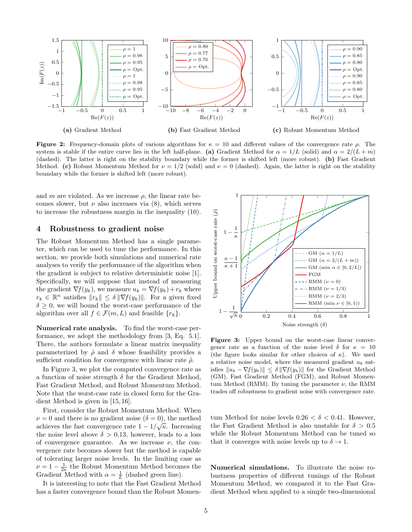<span id="page-4-0"></span>

Figure 2: Frequency-domain plots of various algorithms for  $\kappa = 10$  and different values of the convergence rate  $\rho$ . The system is stable if the entire curve lies in the left half-plane. (a) Gradient Method for  $\alpha = 1/L$  (solid) and  $\alpha = 2/(L + m)$ (dashed). The latter is right on the stability boundary while the former is shifted left (more robust). (b) Fast Gradient Method. (c) Robust Momentum Method for  $\nu = 1/2$  (solid) and  $\nu = 0$  (dashed). Again, the latter is right on the stability boundary while the former is shifted left (more robust).

and m are violated. As we increase  $\rho$ , the linear rate becomes slower, but  $\nu$  also increases via [\(8\)](#page-2-3), which serves to increase the robustness margin in the inequality [\(10\)](#page-2-11).

## 4 Robustness to gradient noise

The Robust Momentum Method has a single parameter, which can be used to tune the performance. In this section, we provide both simulations and numerical rate analyses to verify the performance of the algorithm when the gradient is subject to relative deterministic noise [\[1\]](#page-5-0). Specifically, we will suppose that instead of measuring the gradient  $\nabla f(y_k)$ , we measure  $u_k = \nabla f(y_k) + r_k$  where  $r_k \in \mathbb{R}^n$  satisfies  $||r_k|| \leq \delta ||\nabla f(y_k)||$ . For a given fixed  $\delta \geq 0$ , we will bound the worst-case performance of the algorithm over all  $f \in \mathcal{F}(m,L)$  and feasible  $\{r_k\}.$ 

Numerical rate analysis. To find the worst-case performance, we adopt the methodology from [\[3,](#page-5-5) Eq. 5.1]. There, the authors formulate a linear matrix inequality parameterized by  $\hat{\rho}$  and  $\delta$  whose feasibility provides a sufficient condition for convergence with linear rate  $\hat{\rho}$ .

In Figure [3,](#page-4-1) we plot the computed convergence rate as a function of noise strength  $\delta$  for the Gradient Method, Fast Gradient Method, and Robust Momentum Method. Note that the worst-case rate in closed form for the Gradient Method is given in [\[15,](#page-5-13) [16\]](#page-5-14).

First, consider the Robust Momentum Method. When  $\nu = 0$  and there is no gradient noise  $(\delta = 0)$ , the method achieves the fast convergence rate  $1 - 1/\sqrt{\kappa}$ . Increasing the noise level above  $\delta > 0.13$ , however, leads to a loss of convergence guarantee. As we increase  $\nu$ , the convergence rate becomes slower but the method is capable of tolerating larger noise levels. In the limiting case as  $\nu = 1 - \frac{1}{2\kappa}$  the Robust Momentum Method becomes the Gradient Method with  $\alpha = \frac{1}{L}$  (dashed green line).

It is interesting to note that the Fast Gradient Method has a faster convergence bound than the Robust Momen-

<span id="page-4-1"></span>

Figure 3: Upper bound on the worst-case linear convergence rate as a function of the noise level  $\delta$  for  $\kappa = 10$ (the figure looks similar for other choices of  $\kappa$ ). We used a relative noise model, where the measured gradient  $u_k$  satisfies  $||u_k - \nabla f(y_k)|| \le \delta ||\nabla f(y_k)||$  for the Gradient Method (GM), Fast Gradient Method (FGM), and Robust Momentum Method (RMM). By tuning the parameter  $\nu$ , the RMM trades off robustness to gradient noise with convergence rate.

tum Method for noise levels  $0.26 < \delta < 0.41$ . However, the Fast Gradient Method is also unstable for  $\delta > 0.5$ while the Robust Momentum Method can be tuned so that it converges with noise levels up to  $\delta \to 1$ .

Numerical simulations. To illustrate the noise robustness properties of different tunings of the Robust Momentum Method, we compared it to the Fast Gradient Method when applied to a simple two-dimensional